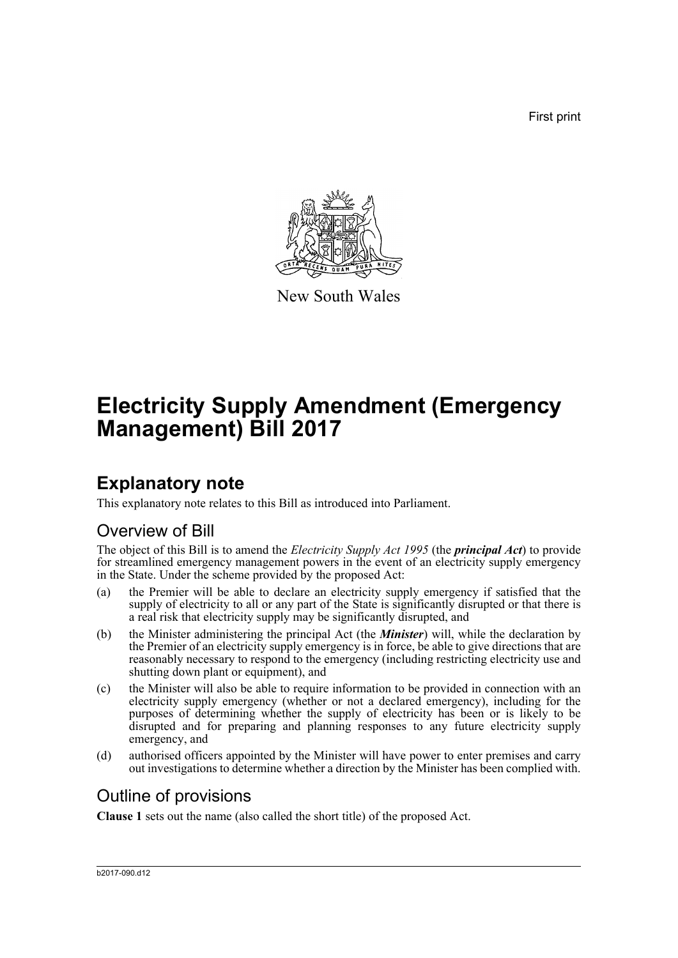First print



New South Wales

# **Electricity Supply Amendment (Emergency Management) Bill 2017**

## **Explanatory note**

This explanatory note relates to this Bill as introduced into Parliament.

### Overview of Bill

The object of this Bill is to amend the *Electricity Supply Act 1995* (the *principal Act*) to provide for streamlined emergency management powers in the event of an electricity supply emergency in the State. Under the scheme provided by the proposed Act:

- (a) the Premier will be able to declare an electricity supply emergency if satisfied that the supply of electricity to all or any part of the State is significantly disrupted or that there is a real risk that electricity supply may be significantly disrupted, and
- (b) the Minister administering the principal Act (the *Minister*) will, while the declaration by the Premier of an electricity supply emergency is in force, be able to give directions that are reasonably necessary to respond to the emergency (including restricting electricity use and shutting down plant or equipment), and
- (c) the Minister will also be able to require information to be provided in connection with an electricity supply emergency (whether or not a declared emergency), including for the purposes of determining whether the supply of electricity has been or is likely to be disrupted and for preparing and planning responses to any future electricity supply emergency, and
- (d) authorised officers appointed by the Minister will have power to enter premises and carry out investigations to determine whether a direction by the Minister has been complied with.

### Outline of provisions

**Clause 1** sets out the name (also called the short title) of the proposed Act.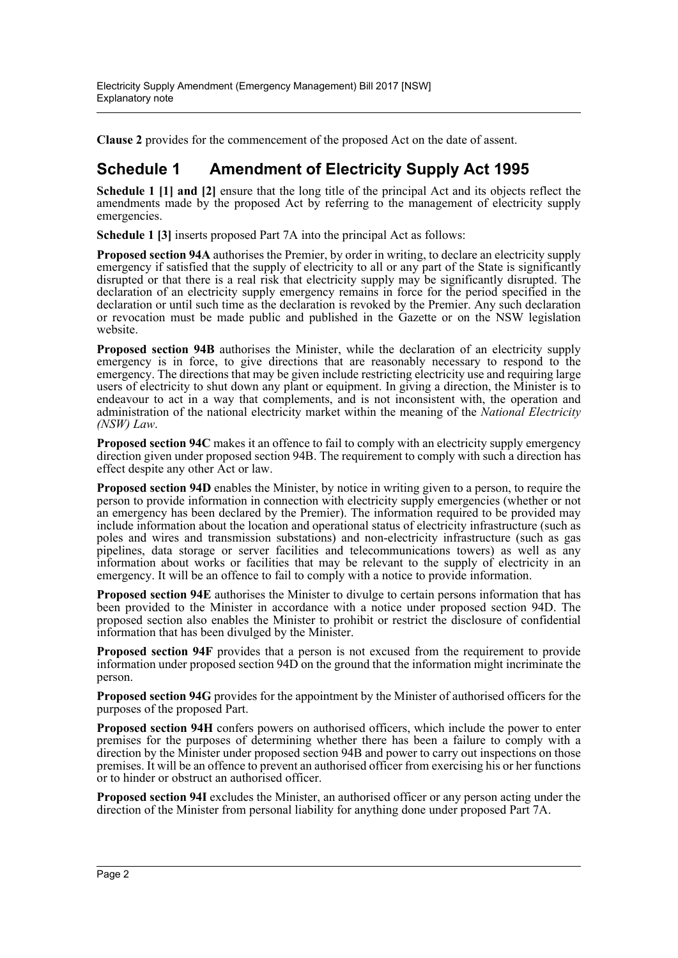**Clause 2** provides for the commencement of the proposed Act on the date of assent.

#### **Schedule 1 Amendment of Electricity Supply Act 1995**

**Schedule 1 [1] and [2]** ensure that the long title of the principal Act and its objects reflect the amendments made by the proposed Act by referring to the management of electricity supply emergencies.

**Schedule 1 [3]** inserts proposed Part 7A into the principal Act as follows:

**Proposed section 94A** authorises the Premier, by order in writing, to declare an electricity supply emergency if satisfied that the supply of electricity to all or any part of the State is significantly disrupted or that there is a real risk that electricity supply may be significantly disrupted. The declaration of an electricity supply emergency remains in force for the period specified in the declaration or until such time as the declaration is revoked by the Premier. Any such declaration or revocation must be made public and published in the Gazette or on the NSW legislation website.

**Proposed section 94B** authorises the Minister, while the declaration of an electricity supply emergency is in force, to give directions that are reasonably necessary to respond to the emergency. The directions that may be given include restricting electricity use and requiring large users of electricity to shut down any plant or equipment. In giving a direction, the Minister is to endeavour to act in a way that complements, and is not inconsistent with, the operation and administration of the national electricity market within the meaning of the *National Electricity (NSW) Law*.

**Proposed section 94C** makes it an offence to fail to comply with an electricity supply emergency direction given under proposed section 94B. The requirement to comply with such a direction has effect despite any other Act or law.

**Proposed section 94D** enables the Minister, by notice in writing given to a person, to require the person to provide information in connection with electricity supply emergencies (whether or not an emergency has been declared by the Premier). The information required to be provided may include information about the location and operational status of electricity infrastructure (such as poles and wires and transmission substations) and non-electricity infrastructure (such as gas pipelines, data storage or server facilities and telecommunications towers) as well as any information about works or facilities that may be relevant to the supply of electricity in an emergency. It will be an offence to fail to comply with a notice to provide information.

**Proposed section 94E** authorises the Minister to divulge to certain persons information that has been provided to the Minister in accordance with a notice under proposed section 94D. The proposed section also enables the Minister to prohibit or restrict the disclosure of confidential information that has been divulged by the Minister.

**Proposed section 94F** provides that a person is not excused from the requirement to provide information under proposed section 94D on the ground that the information might incriminate the person.

**Proposed section 94G** provides for the appointment by the Minister of authorised officers for the purposes of the proposed Part.

**Proposed section 94H** confers powers on authorised officers, which include the power to enter premises for the purposes of determining whether there has been a failure to comply with a direction by the Minister under proposed section 94B and power to carry out inspections on those premises. It will be an offence to prevent an authorised officer from exercising his or her functions or to hinder or obstruct an authorised officer.

**Proposed section 94I** excludes the Minister, an authorised officer or any person acting under the direction of the Minister from personal liability for anything done under proposed Part 7A.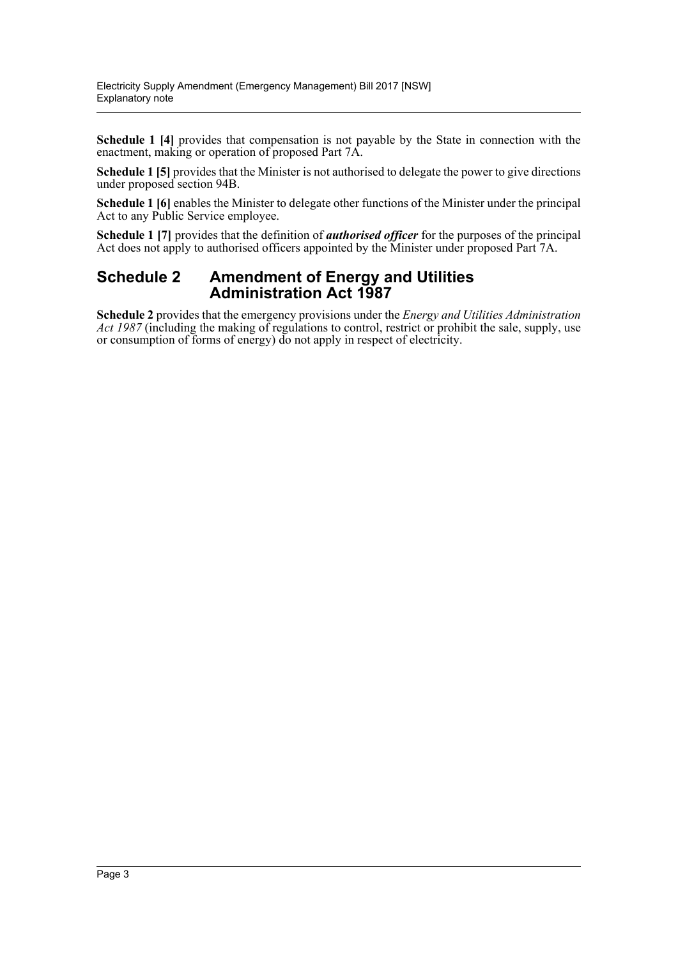**Schedule 1 [4]** provides that compensation is not payable by the State in connection with the enactment, making or operation of proposed Part 7A.

**Schedule 1 [5]** provides that the Minister is not authorised to delegate the power to give directions under proposed section 94B.

**Schedule 1 [6]** enables the Minister to delegate other functions of the Minister under the principal Act to any Public Service employee.

**Schedule 1 [7]** provides that the definition of *authorised officer* for the purposes of the principal Act does not apply to authorised officers appointed by the Minister under proposed Part 7A.

#### **Schedule 2 Amendment of Energy and Utilities Administration Act 1987**

**Schedule 2** provides that the emergency provisions under the *Energy and Utilities Administration Act 1987* (including the making of regulations to control, restrict or prohibit the sale, supply, use or consumption of forms of energy) do not apply in respect of electricity.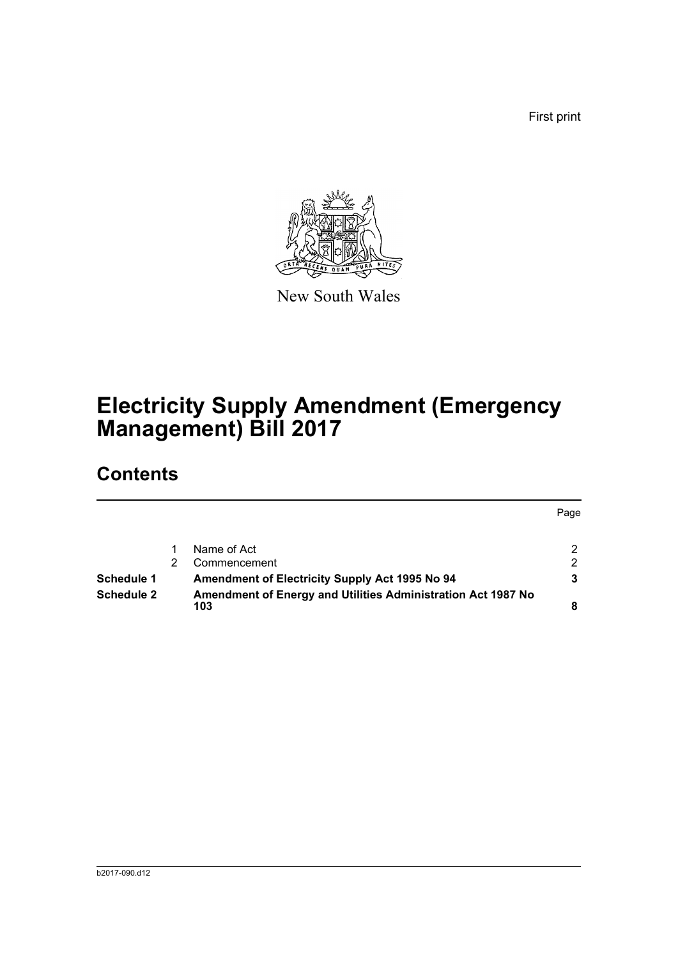First print



New South Wales

# **Electricity Supply Amendment (Emergency Management) Bill 2017**

## **Contents**

|                   |  |                                                                     | Page |
|-------------------|--|---------------------------------------------------------------------|------|
|                   |  |                                                                     |      |
|                   |  | Name of Act                                                         | 2    |
|                   |  | Commencement                                                        | 2    |
| Schedule 1        |  | <b>Amendment of Electricity Supply Act 1995 No 94</b>               | 3    |
| <b>Schedule 2</b> |  | Amendment of Energy and Utilities Administration Act 1987 No<br>103 |      |
|                   |  |                                                                     |      |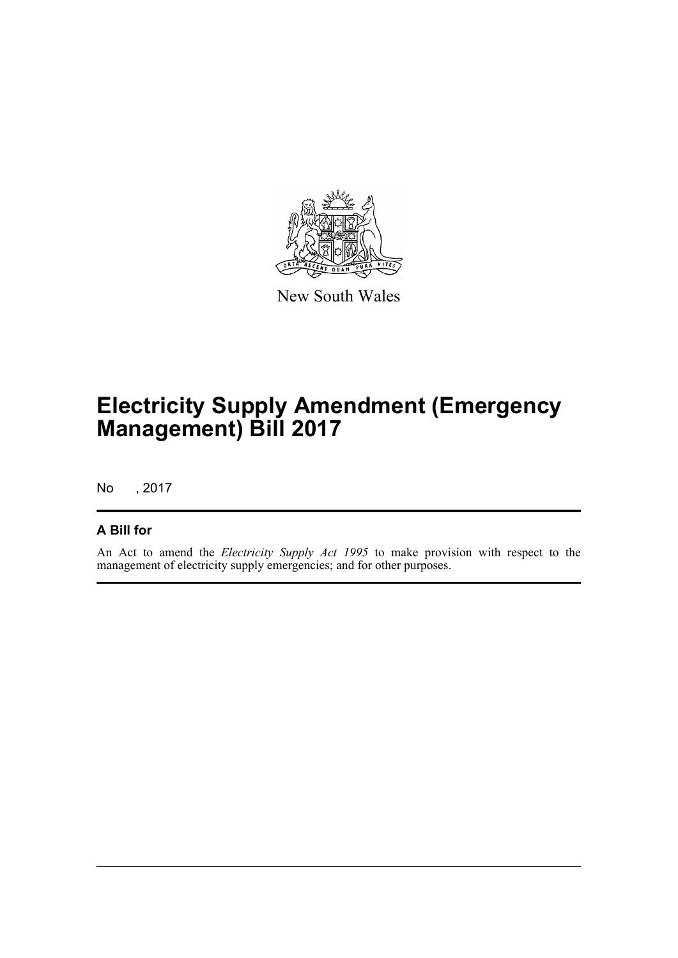

New South Wales

## **Electricity Supply Amendment (Emergency Management) Bill 2017**

No , 2017

#### **A Bill for**

An Act to amend the *Electricity Supply Act 1995* to make provision with respect to the management of electricity supply emergencies; and for other purposes.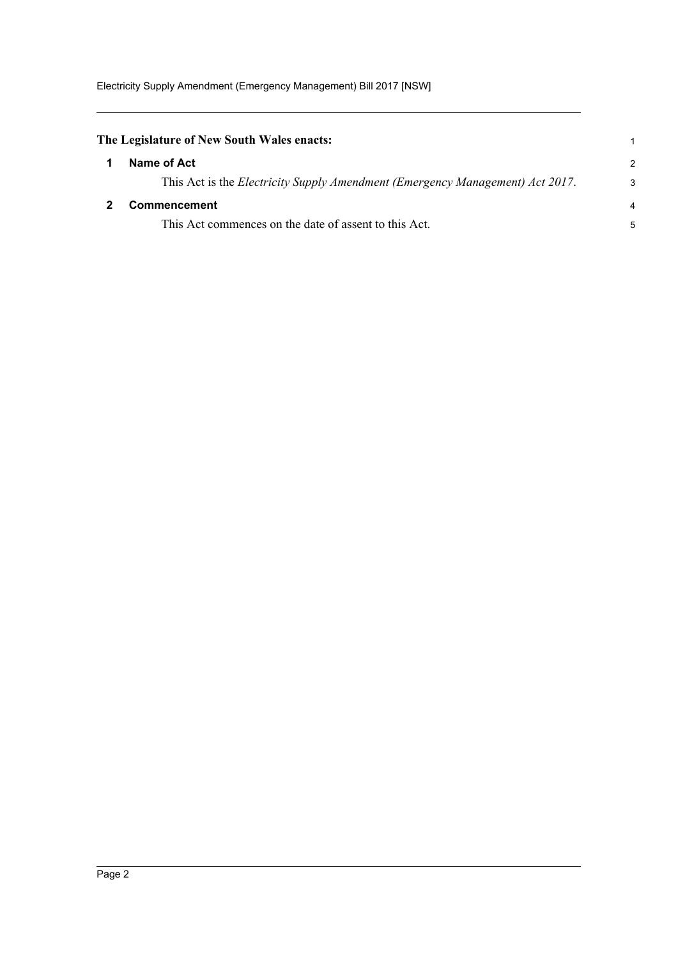<span id="page-5-1"></span><span id="page-5-0"></span>

| The Legislature of New South Wales enacts:                                            |                |  |
|---------------------------------------------------------------------------------------|----------------|--|
| Name of Act                                                                           | 2              |  |
| This Act is the <i>Electricity Supply Amendment (Emergency Management) Act 2017</i> . | 3              |  |
| Commencement                                                                          | $\overline{4}$ |  |
| This Act commences on the date of assent to this Act.                                 |                |  |
|                                                                                       |                |  |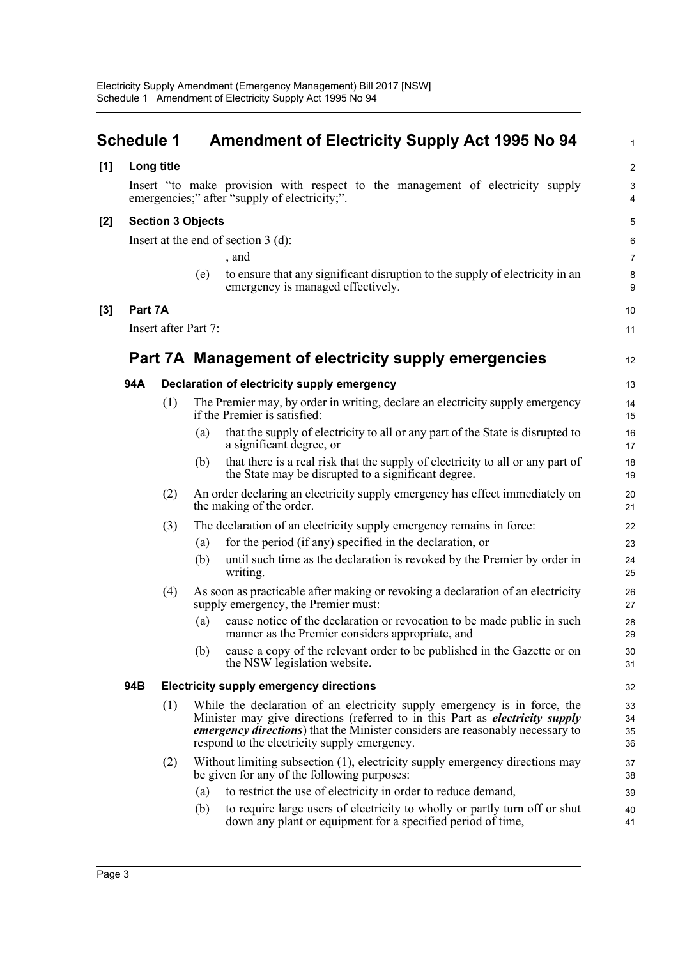<span id="page-6-0"></span>

|       | <b>Schedule 1</b> |                          |     | <b>Amendment of Electricity Supply Act 1995 No 94</b>                                                                                                                                                                                                                                                     | $\mathbf{1}$         |
|-------|-------------------|--------------------------|-----|-----------------------------------------------------------------------------------------------------------------------------------------------------------------------------------------------------------------------------------------------------------------------------------------------------------|----------------------|
| [1]   |                   | Long title               |     |                                                                                                                                                                                                                                                                                                           | $\overline{2}$       |
|       |                   |                          |     | Insert "to make provision with respect to the management of electricity supply<br>emergencies;" after "supply of electricity;".                                                                                                                                                                           | 3<br>4               |
| $[2]$ |                   | <b>Section 3 Objects</b> |     |                                                                                                                                                                                                                                                                                                           | 5                    |
|       |                   |                          |     | Insert at the end of section $3$ (d):                                                                                                                                                                                                                                                                     | 6                    |
|       |                   |                          |     | , and                                                                                                                                                                                                                                                                                                     | $\overline{7}$       |
|       |                   |                          | (e) | to ensure that any significant disruption to the supply of electricity in an<br>emergency is managed effectively.                                                                                                                                                                                         | $\bf 8$<br>9         |
| $[3]$ | Part 7A           |                          |     |                                                                                                                                                                                                                                                                                                           | 10                   |
|       |                   | Insert after Part 7:     |     |                                                                                                                                                                                                                                                                                                           | 11                   |
|       |                   |                          |     | Part 7A Management of electricity supply emergencies                                                                                                                                                                                                                                                      | 12                   |
|       | 94A               |                          |     | Declaration of electricity supply emergency                                                                                                                                                                                                                                                               | 13                   |
|       |                   | (1)                      |     | The Premier may, by order in writing, declare an electricity supply emergency<br>if the Premier is satisfied:                                                                                                                                                                                             | 14<br>15             |
|       |                   |                          | (a) | that the supply of electricity to all or any part of the State is disrupted to<br>a significant degree, or                                                                                                                                                                                                | 16<br>17             |
|       |                   |                          | (b) | that there is a real risk that the supply of electricity to all or any part of<br>the State may be disrupted to a significant degree.                                                                                                                                                                     | 18<br>19             |
|       |                   | (2)                      |     | An order declaring an electricity supply emergency has effect immediately on<br>the making of the order.                                                                                                                                                                                                  | 20<br>21             |
|       |                   | (3)                      |     | The declaration of an electricity supply emergency remains in force:                                                                                                                                                                                                                                      | 22                   |
|       |                   |                          | (a) | for the period (if any) specified in the declaration, or                                                                                                                                                                                                                                                  | 23                   |
|       |                   |                          | (b) | until such time as the declaration is revoked by the Premier by order in<br>writing.                                                                                                                                                                                                                      | 24<br>25             |
|       |                   | (4)                      |     | As soon as practicable after making or revoking a declaration of an electricity<br>supply emergency, the Premier must:                                                                                                                                                                                    | 26<br>27             |
|       |                   |                          | (a) | cause notice of the declaration or revocation to be made public in such<br>manner as the Premier considers appropriate, and                                                                                                                                                                               | 28<br>29             |
|       |                   |                          | (b) | cause a copy of the relevant order to be published in the Gazette or on<br>the NSW legislation website.                                                                                                                                                                                                   | 30<br>31             |
|       | 94B               |                          |     | <b>Electricity supply emergency directions</b>                                                                                                                                                                                                                                                            | 32                   |
|       |                   | (1)                      |     | While the declaration of an electricity supply emergency is in force, the<br>Minister may give directions (referred to in this Part as <i>electricity supply</i><br><i>emergency directions</i> ) that the Minister considers are reasonably necessary to<br>respond to the electricity supply emergency. | 33<br>34<br>35<br>36 |
|       |                   | (2)                      |     | Without limiting subsection (1), electricity supply emergency directions may<br>be given for any of the following purposes:                                                                                                                                                                               | 37<br>38             |
|       |                   |                          | (a) | to restrict the use of electricity in order to reduce demand,                                                                                                                                                                                                                                             | 39                   |
|       |                   |                          | (b) | to require large users of electricity to wholly or partly turn off or shut<br>down any plant or equipment for a specified period of time,                                                                                                                                                                 | 40<br>41             |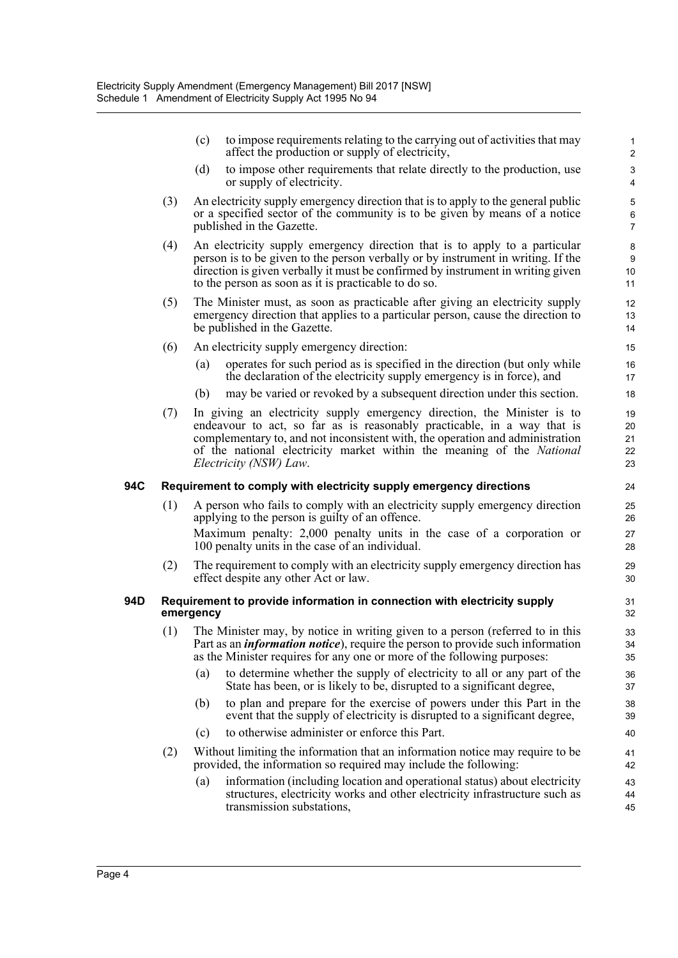- (c) to impose requirements relating to the carrying out of activities that may 1 affect the production or supply of electricity, 2
- (d) to impose other requirements that relate directly to the production, use 3 or supply of electricity. 4

6

 $1<sub>0</sub>$ 9

13

22 21 20

27

34

44

- (3) An electricity supply emergency direction that is to apply to the general public 5 or a specified sector of the community is to be given by means of a notice published in the Gazette. 7
- (4) An electricity supply emergency direction that is to apply to a particular 8 person is to be given to the person verbally or by instrument in writing. If the direction is given verbally it must be confirmed by instrument in writing given to the person as soon as it is practicable to do so. 11
- (5) The Minister must, as soon as practicable after giving an electricity supply 12 emergency direction that applies to a particular person, cause the direction to be published in the Gazette. 14
- (6) An electricity supply emergency direction: 15
	- (a) operates for such period as is specified in the direction (but only while 16 the declaration of the electricity supply emergency is in force), and 17
	- (b) may be varied or revoked by a subsequent direction under this section. 18
- (7) In giving an electricity supply emergency direction, the Minister is to 19 endeavour to act, so far as is reasonably practicable, in a way that is complementary to, and not inconsistent with, the operation and administration of the national electricity market within the meaning of the *National Electricity (NSW) Law*. 23

#### **94C Requirement to comply with electricity supply emergency directions** 24

- (1) 25 A person who fails to comply with an electricity supply emergency direction applying to the person is guilty of an offence. 26 Maximum penalty: 2,000 penalty units in the case of a corporation or 100 penalty units in the case of an individual. 28
- (2) The requirement to comply with an electricity supply emergency direction has 29 effect despite any other Act or law. 30

#### **94D Requirement to provide information in connection with electricity supply** 31 **emergency** 32

- (1) The Minister may, by notice in writing given to a person (referred to in this 33 Part as an *information notice*), require the person to provide such information as the Minister requires for any one or more of the following purposes: 35
	- (a) to determine whether the supply of electricity to all or any part of the 36 State has been, or is likely to be, disrupted to a significant degree,  $\frac{37}{2}$
	- (b) to plan and prepare for the exercise of powers under this Part in the 38 event that the supply of electricity is disrupted to a significant degree,  $\frac{39}{2}$
	- (c) to otherwise administer or enforce this Part. 40
- (2) Without limiting the information that an information notice may require to be 41 provided, the information so required may include the following: 42
	- (a) information (including location and operational status) about electricity 43 structures, electricity works and other electricity infrastructure such as transmission substations, 45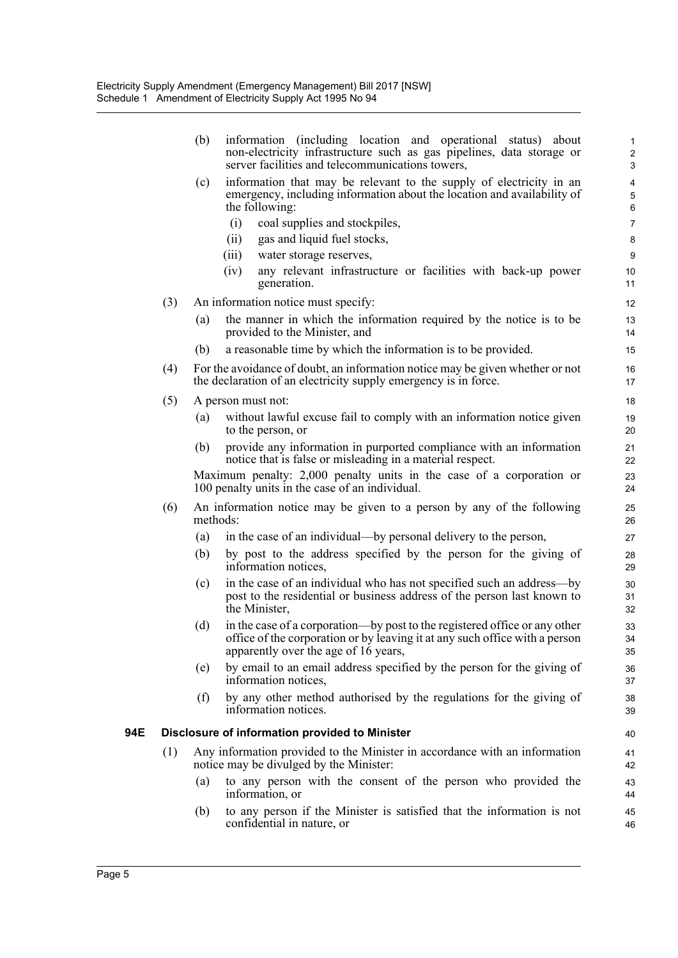|     |     | (b)                                            | information (including location and operational status) about<br>non-electricity infrastructure such as gas pipelines, data storage or<br>server facilities and telecommunications towers,        | 1<br>$\overline{\mathbf{c}}$<br>3 |  |
|-----|-----|------------------------------------------------|---------------------------------------------------------------------------------------------------------------------------------------------------------------------------------------------------|-----------------------------------|--|
|     |     | (c)                                            | information that may be relevant to the supply of electricity in an<br>emergency, including information about the location and availability of<br>the following:                                  | 4<br>5<br>6                       |  |
|     |     |                                                | (i)<br>coal supplies and stockpiles,<br>(ii)<br>gas and liquid fuel stocks,                                                                                                                       | 7<br>8                            |  |
|     |     |                                                | (iii)<br>water storage reserves,                                                                                                                                                                  | 9                                 |  |
|     |     |                                                | (iv)<br>any relevant infrastructure or facilities with back-up power<br>generation.                                                                                                               | 10<br>11                          |  |
|     | (3) |                                                | An information notice must specify:                                                                                                                                                               | 12                                |  |
|     |     | (a)                                            | the manner in which the information required by the notice is to be<br>provided to the Minister, and                                                                                              | 13<br>14                          |  |
|     |     | (b)                                            | a reasonable time by which the information is to be provided.                                                                                                                                     | 15                                |  |
|     | (4) |                                                | For the avoidance of doubt, an information notice may be given whether or not<br>the declaration of an electricity supply emergency is in force.                                                  | 16<br>17                          |  |
|     | (5) |                                                | A person must not:                                                                                                                                                                                | 18                                |  |
|     |     | (a)                                            | without lawful excuse fail to comply with an information notice given<br>to the person, or                                                                                                        | 19<br>20                          |  |
|     |     | (b)                                            | provide any information in purported compliance with an information<br>notice that is false or misleading in a material respect.                                                                  | 21<br>22                          |  |
|     |     |                                                | Maximum penalty: 2,000 penalty units in the case of a corporation or<br>100 penalty units in the case of an individual.                                                                           | 23<br>24                          |  |
|     | (6) | methods:                                       | An information notice may be given to a person by any of the following                                                                                                                            | 25<br>26                          |  |
|     |     | (a)                                            | in the case of an individual—by personal delivery to the person,                                                                                                                                  | 27                                |  |
|     |     | (b)                                            | by post to the address specified by the person for the giving of<br>information notices,                                                                                                          | 28<br>29                          |  |
|     |     | (c)                                            | in the case of an individual who has not specified such an address-by<br>post to the residential or business address of the person last known to<br>the Minister,                                 | 30<br>31<br>32                    |  |
|     |     | (d)                                            | in the case of a corporation—by post to the registered office or any other<br>office of the corporation or by leaving it at any such office with a person<br>apparently over the age of 16 years, | 33<br>34<br>35                    |  |
|     |     | (e)                                            | by email to an email address specified by the person for the giving of<br>information notices,                                                                                                    | 36<br>37                          |  |
|     |     | (f)                                            | by any other method authorised by the regulations for the giving of<br>information notices.                                                                                                       | 38<br>39                          |  |
| 94E |     | Disclosure of information provided to Minister |                                                                                                                                                                                                   |                                   |  |
|     | (1) |                                                | Any information provided to the Minister in accordance with an information<br>notice may be divulged by the Minister:                                                                             | 41<br>42                          |  |
|     |     | (a)                                            | to any person with the consent of the person who provided the<br>information, or                                                                                                                  | 43<br>44                          |  |
|     |     | (b)                                            | to any person if the Minister is satisfied that the information is not<br>confidential in nature, or                                                                                              | 45<br>46                          |  |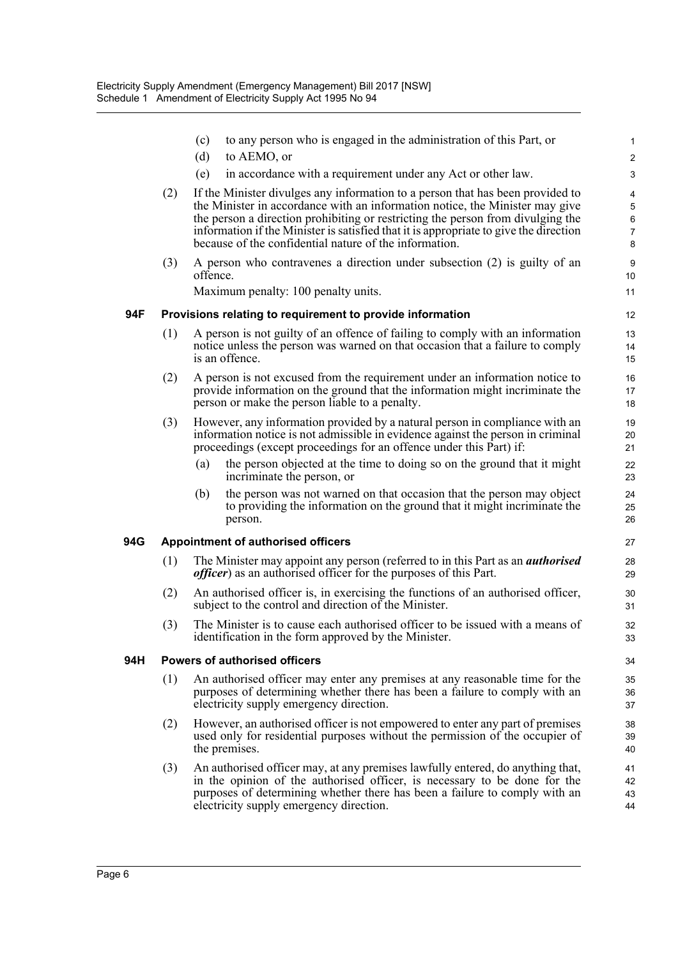|     |                                      | to any person who is engaged in the administration of this Part, or<br>(c)<br>(d)<br>to AEMO, or                                                                                                                                                                                                                                                                                                     | $\mathbf{1}$<br>$\overline{2}$           |  |  |  |
|-----|--------------------------------------|------------------------------------------------------------------------------------------------------------------------------------------------------------------------------------------------------------------------------------------------------------------------------------------------------------------------------------------------------------------------------------------------------|------------------------------------------|--|--|--|
|     |                                      | (e)<br>in accordance with a requirement under any Act or other law.                                                                                                                                                                                                                                                                                                                                  | 3                                        |  |  |  |
|     | (2)                                  | If the Minister divulges any information to a person that has been provided to<br>the Minister in accordance with an information notice, the Minister may give<br>the person a direction prohibiting or restricting the person from divulging the<br>information if the Minister is satisfied that it is appropriate to give the direction<br>because of the confidential nature of the information. | 4<br>5<br>$\,6\,$<br>$\overline{7}$<br>8 |  |  |  |
|     | (3)                                  | A person who contravenes a direction under subsection (2) is guilty of an<br>offence.<br>Maximum penalty: 100 penalty units.                                                                                                                                                                                                                                                                         | $\boldsymbol{9}$<br>10<br>11             |  |  |  |
|     |                                      |                                                                                                                                                                                                                                                                                                                                                                                                      | 12                                       |  |  |  |
| 94F | (1)                                  | Provisions relating to requirement to provide information<br>A person is not guilty of an offence of failing to comply with an information<br>notice unless the person was warned on that occasion that a failure to comply<br>is an offence.                                                                                                                                                        |                                          |  |  |  |
|     | (2)                                  | A person is not excused from the requirement under an information notice to<br>provide information on the ground that the information might incriminate the<br>person or make the person liable to a penalty.                                                                                                                                                                                        | 15<br>16<br>17<br>18                     |  |  |  |
|     | (3)                                  | However, any information provided by a natural person in compliance with an<br>information notice is not admissible in evidence against the person in criminal<br>proceedings (except proceedings for an offence under this Part) if:                                                                                                                                                                | 19<br>20<br>21                           |  |  |  |
|     |                                      | the person objected at the time to doing so on the ground that it might<br>(a)<br>incriminate the person, or                                                                                                                                                                                                                                                                                         | 22<br>23                                 |  |  |  |
|     |                                      | (b)<br>the person was not warned on that occasion that the person may object<br>to providing the information on the ground that it might incriminate the<br>person.                                                                                                                                                                                                                                  | 24<br>25<br>26                           |  |  |  |
| 94G | Appointment of authorised officers   |                                                                                                                                                                                                                                                                                                                                                                                                      |                                          |  |  |  |
|     | (1)                                  | The Minister may appoint any person (referred to in this Part as an <i>authorised</i><br><i>officer</i> ) as an authorised officer for the purposes of this Part.                                                                                                                                                                                                                                    | 28<br>29                                 |  |  |  |
|     | (2)                                  | An authorised officer is, in exercising the functions of an authorised officer,<br>subject to the control and direction of the Minister.                                                                                                                                                                                                                                                             | 30<br>31                                 |  |  |  |
|     | (3)                                  | The Minister is to cause each authorised officer to be issued with a means of<br>identification in the form approved by the Minister.                                                                                                                                                                                                                                                                | 32<br>33                                 |  |  |  |
| 94H | <b>Powers of authorised officers</b> |                                                                                                                                                                                                                                                                                                                                                                                                      |                                          |  |  |  |
|     | (1)                                  | An authorised officer may enter any premises at any reasonable time for the<br>purposes of determining whether there has been a failure to comply with an<br>electricity supply emergency direction.                                                                                                                                                                                                 | 35<br>36<br>37                           |  |  |  |
|     | (2)                                  | However, an authorised officer is not empowered to enter any part of premises<br>used only for residential purposes without the permission of the occupier of<br>the premises.                                                                                                                                                                                                                       | 38<br>39<br>40                           |  |  |  |
|     | (3)                                  | An authorised officer may, at any premises lawfully entered, do anything that,<br>in the opinion of the authorised officer, is necessary to be done for the<br>purposes of determining whether there has been a failure to comply with an<br>electricity supply emergency direction.                                                                                                                 | 41<br>42<br>43<br>44                     |  |  |  |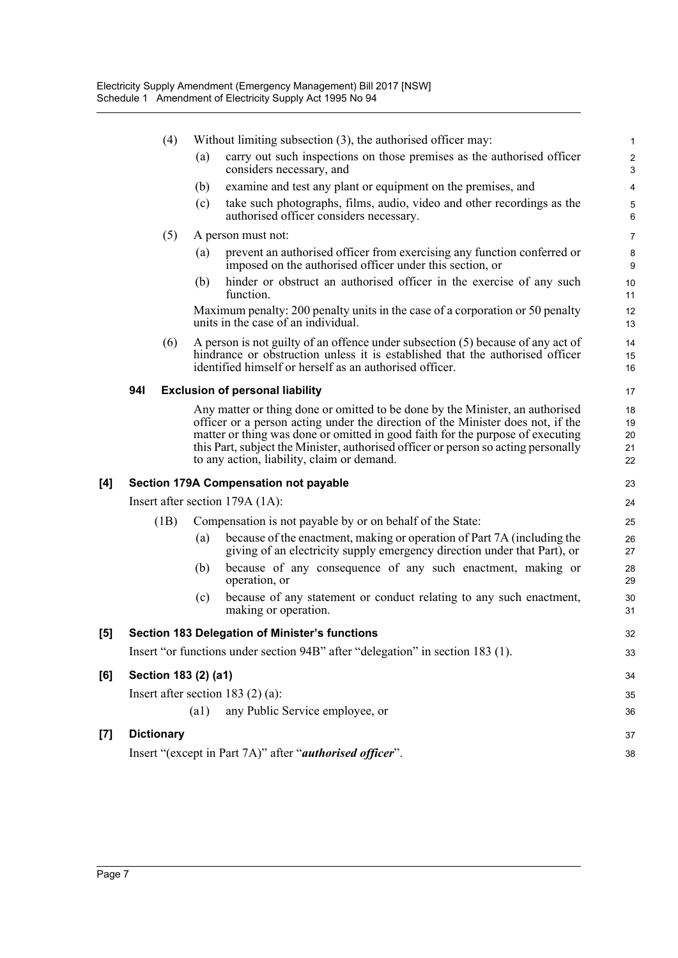|                     |            | (4)               |                      | Without limiting subsection $(3)$ , the authorised officer may:                                                                                                                                                                                                                                                                                                                        | $\mathbf{1}$                                |
|---------------------|------------|-------------------|----------------------|----------------------------------------------------------------------------------------------------------------------------------------------------------------------------------------------------------------------------------------------------------------------------------------------------------------------------------------------------------------------------------------|---------------------------------------------|
|                     |            |                   | (a)                  | carry out such inspections on those premises as the authorised officer<br>considers necessary, and                                                                                                                                                                                                                                                                                     | $\overline{c}$<br>$\ensuremath{\mathsf{3}}$ |
|                     |            |                   | (b)                  | examine and test any plant or equipment on the premises, and                                                                                                                                                                                                                                                                                                                           | $\overline{\mathbf{4}}$                     |
|                     |            |                   | (c)                  | take such photographs, films, audio, video and other recordings as the<br>authorised officer considers necessary.                                                                                                                                                                                                                                                                      | $\sqrt{5}$<br>6                             |
|                     |            | (5)               |                      | A person must not:                                                                                                                                                                                                                                                                                                                                                                     | $\overline{7}$                              |
|                     |            |                   | (a)                  | prevent an authorised officer from exercising any function conferred or<br>imposed on the authorised officer under this section, or                                                                                                                                                                                                                                                    | $\bf 8$<br>9                                |
|                     |            |                   | (b)                  | hinder or obstruct an authorised officer in the exercise of any such<br>function.                                                                                                                                                                                                                                                                                                      | 10<br>11                                    |
|                     |            |                   |                      | Maximum penalty: 200 penalty units in the case of a corporation or 50 penalty<br>units in the case of an individual.                                                                                                                                                                                                                                                                   | 12<br>13                                    |
|                     |            | (6)               |                      | A person is not guilty of an offence under subsection (5) because of any act of<br>hindrance or obstruction unless it is established that the authorised officer<br>identified himself or herself as an authorised officer.                                                                                                                                                            | 14<br>15<br>16                              |
|                     | <b>941</b> |                   |                      | <b>Exclusion of personal liability</b>                                                                                                                                                                                                                                                                                                                                                 | 17                                          |
|                     |            |                   |                      | Any matter or thing done or omitted to be done by the Minister, an authorised<br>officer or a person acting under the direction of the Minister does not, if the<br>matter or thing was done or omitted in good faith for the purpose of executing<br>this Part, subject the Minister, authorised officer or person so acting personally<br>to any action, liability, claim or demand. | 18<br>19<br>20<br>21<br>22                  |
| [4]                 |            |                   |                      | Section 179A Compensation not payable                                                                                                                                                                                                                                                                                                                                                  | 23                                          |
|                     |            |                   |                      | Insert after section 179A (1A):                                                                                                                                                                                                                                                                                                                                                        | 24                                          |
|                     |            | (1B)              |                      | Compensation is not payable by or on behalf of the State:                                                                                                                                                                                                                                                                                                                              | 25                                          |
|                     |            |                   | (a)                  | because of the enactment, making or operation of Part 7A (including the<br>giving of an electricity supply emergency direction under that Part), or                                                                                                                                                                                                                                    | 26<br>27                                    |
|                     |            |                   | (b)                  | because of any consequence of any such enactment, making or<br>operation, or                                                                                                                                                                                                                                                                                                           | 28<br>29                                    |
|                     |            |                   | (c)                  | because of any statement or conduct relating to any such enactment,<br>making or operation.                                                                                                                                                                                                                                                                                            | 30<br>31                                    |
| $\lbrack 5 \rbrack$ |            |                   |                      | Section 183 Delegation of Minister's functions                                                                                                                                                                                                                                                                                                                                         | 32                                          |
|                     |            |                   |                      | Insert "or functions under section 94B" after "delegation" in section 183 (1).                                                                                                                                                                                                                                                                                                         | 33                                          |
| [6]                 |            |                   | Section 183 (2) (a1) |                                                                                                                                                                                                                                                                                                                                                                                        | 34                                          |
|                     |            |                   |                      | Insert after section 183 $(2)$ $(a)$ :                                                                                                                                                                                                                                                                                                                                                 | 35                                          |
|                     |            |                   | (a1)                 | any Public Service employee, or                                                                                                                                                                                                                                                                                                                                                        | 36                                          |
| [7]                 |            | <b>Dictionary</b> |                      |                                                                                                                                                                                                                                                                                                                                                                                        | 37                                          |
|                     |            |                   |                      | Insert "(except in Part 7A)" after " <i>authorised officer</i> ".                                                                                                                                                                                                                                                                                                                      | 38                                          |